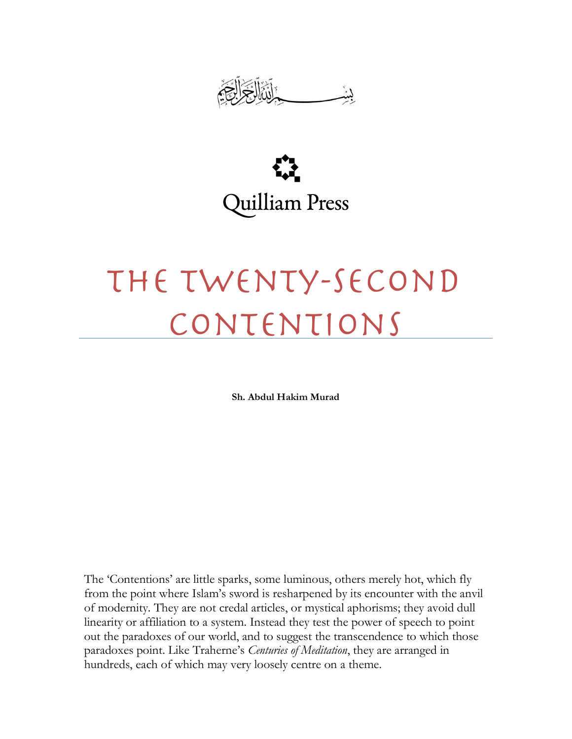



## The Twenty-Second Contentions

**Sh. Abdul Hakim Murad**

The "Contentions" are little sparks, some luminous, others merely hot, which fly from the point where Islam"s sword is resharpened by its encounter with the anvil of modernity. They are not credal articles, or mystical aphorisms; they avoid dull linearity or affiliation to a system. Instead they test the power of speech to point out the paradoxes of our world, and to suggest the transcendence to which those paradoxes point. Like Traherne's *Centuries of Meditation*, they are arranged in hundreds, each of which may very loosely centre on a theme.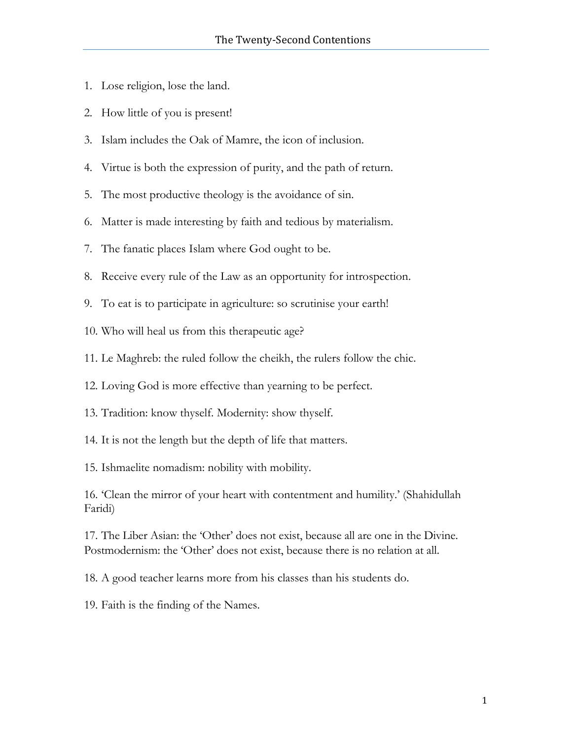- 1. Lose religion, lose the land.
- 2. How little of you is present!
- 3. Islam includes the Oak of Mamre, the icon of inclusion.
- 4. Virtue is both the expression of purity, and the path of return.
- 5. The most productive theology is the avoidance of sin.
- 6. Matter is made interesting by faith and tedious by materialism.
- 7. The fanatic places Islam where God ought to be.
- 8. Receive every rule of the Law as an opportunity for introspection.
- 9. To eat is to participate in agriculture: so scrutinise your earth!
- 10. Who will heal us from this therapeutic age?
- 11. Le Maghreb: the ruled follow the cheikh, the rulers follow the chic.
- 12. Loving God is more effective than yearning to be perfect.
- 13. Tradition: know thyself. Modernity: show thyself.
- 14. It is not the length but the depth of life that matters.
- 15. Ishmaelite nomadism: nobility with mobility.

16. 'Clean the mirror of your heart with contentment and humility.' (Shahidullah Faridi)

17. The Liber Asian: the 'Other' does not exist, because all are one in the Divine. Postmodernism: the 'Other' does not exist, because there is no relation at all.

18. A good teacher learns more from his classes than his students do.

19. Faith is the finding of the Names.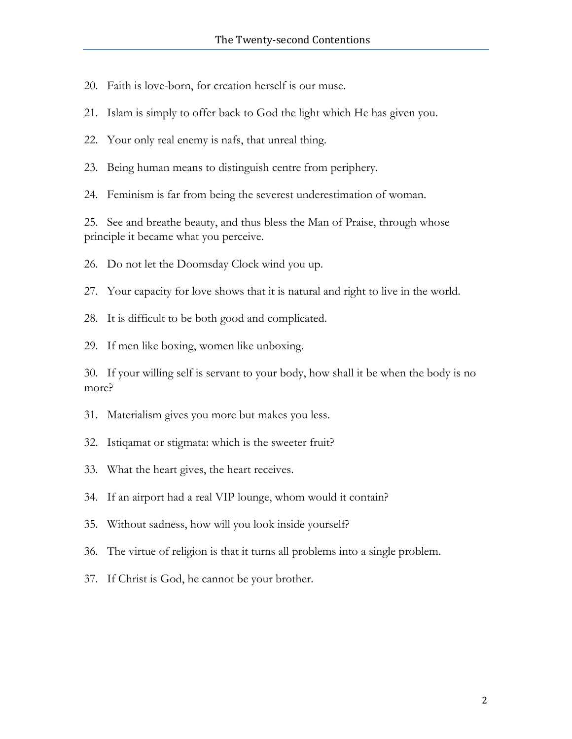20. Faith is love-born, for creation herself is our muse.

21. Islam is simply to offer back to God the light which He has given you.

22. Your only real enemy is nafs, that unreal thing.

23. Being human means to distinguish centre from periphery.

24. Feminism is far from being the severest underestimation of woman.

25. See and breathe beauty, and thus bless the Man of Praise, through whose principle it became what you perceive.

26. Do not let the Doomsday Clock wind you up.

27. Your capacity for love shows that it is natural and right to live in the world.

28. It is difficult to be both good and complicated.

29. If men like boxing, women like unboxing.

30. If your willing self is servant to your body, how shall it be when the body is no more?

31. Materialism gives you more but makes you less.

32. Istiqamat or stigmata: which is the sweeter fruit?

33. What the heart gives, the heart receives.

34. If an airport had a real VIP lounge, whom would it contain?

35. Without sadness, how will you look inside yourself?

36. The virtue of religion is that it turns all problems into a single problem.

37. If Christ is God, he cannot be your brother.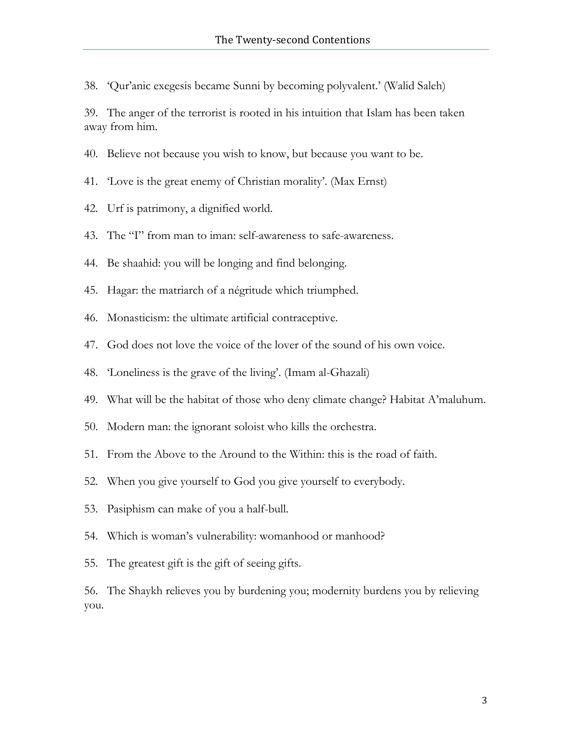38. 'Qur'anic exegesis became Sunni by becoming polyvalent.' (Walid Saleh)

39. The anger of the terrorist is rooted in his intuition that Islam has been taken away from him.

- 40. Believe not because you wish to know, but because you want to be.
- 41. 'Love is the great enemy of Christian morality'. (Max Ernst)
- 42. Urf is patrimony, a dignified world.
- 43. The "I" from man to iman: self-awareness to safe-awareness.
- 44. Be shaahid: you will be longing and find belonging.
- 45. Hagar: the matriarch of a négritude which triumphed.
- 46. Monasticism: the ultimate artificial contraceptive.
- 47. God does not love the voice of the lover of the sound of his own voice.
- 48. 'Loneliness is the grave of the living'. (Imam al-Ghazali)
- 49. What will be the habitat of those who deny climate change? Habitat A'maluhum.
- 50. Modern man: the ignorant soloist who kills the orchestra.
- 51. From the Above to the Around to the Within: this is the road of faith.
- 52. When you give yourself to God you give yourself to everybody.
- 53. Pasiphism can make of you a half-bull.
- 54. Which is woman's vulnerability: womanhood or manhood?
- 55. The greatest gift is the gift of seeing gifts.

56. The Shaykh relieves you by burdening you; modernity burdens you by relieving you.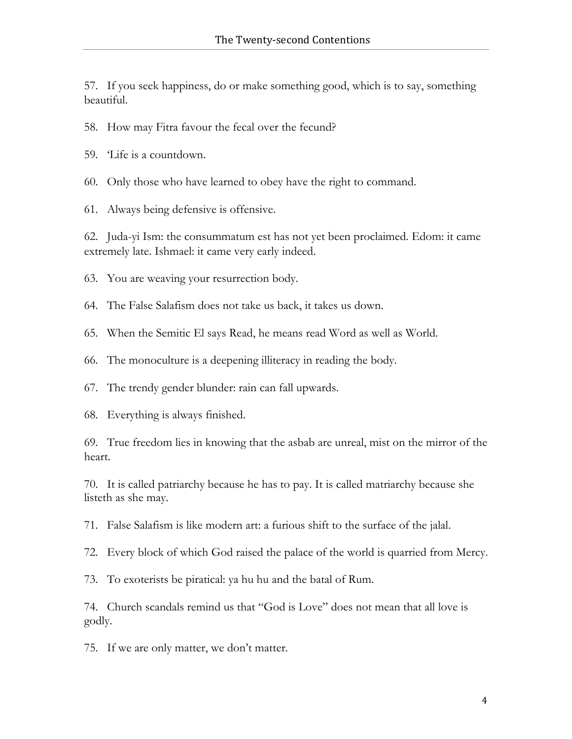57. If you seek happiness, do or make something good, which is to say, something beautiful.

58. How may Fitra favour the fecal over the fecund?

59. "Life is a countdown.

60. Only those who have learned to obey have the right to command.

61. Always being defensive is offensive.

62. Juda-yi Ism: the consummatum est has not yet been proclaimed. Edom: it came extremely late. Ishmael: it came very early indeed.

63. You are weaving your resurrection body.

64. The False Salafism does not take us back, it takes us down.

65. When the Semitic El says Read, he means read Word as well as World.

66. The monoculture is a deepening illiteracy in reading the body.

67. The trendy gender blunder: rain can fall upwards.

68. Everything is always finished.

69. True freedom lies in knowing that the asbab are unreal, mist on the mirror of the heart.

70. It is called patriarchy because he has to pay. It is called matriarchy because she listeth as she may.

71. False Salafism is like modern art: a furious shift to the surface of the jalal.

72. Every block of which God raised the palace of the world is quarried from Mercy.

73. To exoterists be piratical: ya hu hu and the batal of Rum.

74. Church scandals remind us that "God is Love" does not mean that all love is godly.

75. If we are only matter, we don't matter.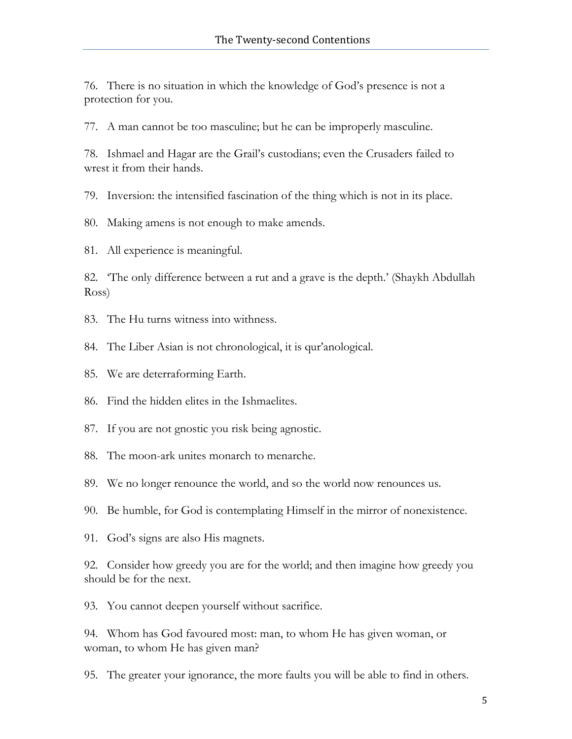76. There is no situation in which the knowledge of God's presence is not a protection for you.

77. A man cannot be too masculine; but he can be improperly masculine.

78. Ishmael and Hagar are the Grail's custodians; even the Crusaders failed to wrest it from their hands.

79. Inversion: the intensified fascination of the thing which is not in its place.

80. Making amens is not enough to make amends.

81. All experience is meaningful.

82. 'The only difference between a rut and a grave is the depth.' (Shaykh Abdullah Ross)

- 83. The Hu turns witness into withness.
- 84. The Liber Asian is not chronological, it is qur'anological.
- 85. We are deterraforming Earth.
- 86. Find the hidden elites in the Ishmaelites.
- 87. If you are not gnostic you risk being agnostic.
- 88. The moon-ark unites monarch to menarche.
- 89. We no longer renounce the world, and so the world now renounces us.
- 90. Be humble, for God is contemplating Himself in the mirror of nonexistence.
- 91. God's signs are also His magnets.

92. Consider how greedy you are for the world; and then imagine how greedy you should be for the next.

93. You cannot deepen yourself without sacrifice.

94. Whom has God favoured most: man, to whom He has given woman, or woman, to whom He has given man?

95. The greater your ignorance, the more faults you will be able to find in others.